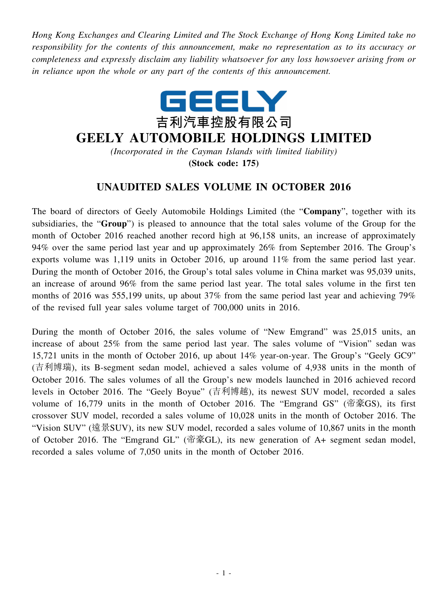*Hong Kong Exchanges and Clearing Limited and The Stock Exchange of Hong Kong Limited take no responsibility for the contents of this announcement, make no representation as to its accuracy or completeness and expressly disclaim any liability whatsoever for any loss howsoever arising from or in reliance upon the whole or any part of the contents of this announcement.*



## **GEELY AUTOMOBILE HOLDINGS LIMITED**

*(Incorporated in the Cayman Islands with limited liability)*

**(Stock code: 175)**

## **UNAUDITED SALES VOLUME IN OCTOBER 2016**

The board of directors of Geely Automobile Holdings Limited (the "**Company**", together with its subsidiaries, the "**Group**") is pleased to announce that the total sales volume of the Group for the month of October 2016 reached another record high at 96,158 units, an increase of approximately 94% over the same period last year and up approximately 26% from September 2016. The Group's exports volume was 1,119 units in October 2016, up around 11% from the same period last year. During the month of October 2016, the Group's total sales volume in China market was 95,039 units, an increase of around 96% from the same period last year. The total sales volume in the first ten months of 2016 was 555,199 units, up about 37% from the same period last year and achieving 79% of the revised full year sales volume target of 700,000 units in 2016.

During the month of October 2016, the sales volume of "New Emgrand" was 25,015 units, an increase of about 25% from the same period last year. The sales volume of "Vision" sedan was 15,721 units in the month of October 2016, up about 14% year-on-year. The Group's "Geely GC9" (吉利博瑞), its B-segment sedan model, achieved a sales volume of 4,938 units in the month of October 2016. The sales volumes of all the Group's new models launched in 2016 achieved record levels in October 2016. The "Geely Boyue" (吉利博越), its newest SUV model, recorded a sales volume of 16,779 units in the month of October 2016. The "Emgrand GS" (帝豪GS), its first crossover SUV model, recorded a sales volume of 10,028 units in the month of October 2016. The "Vision SUV" (遠景SUV), its new SUV model, recorded a sales volume of 10,867 units in the month of October 2016. The "Emgrand GL" (帝豪GL), its new generation of A+ segment sedan model, recorded a sales volume of 7,050 units in the month of October 2016.